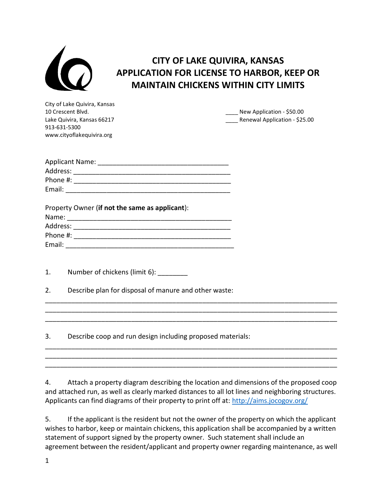

## CITY OF LAKE QUIVIRA, KANSAS APPLICATION FOR LICENSE TO HARBOR, KEEP OR MAINTAIN CHICKENS WITHIN CITY LIMITS

City of Lake Quivira, Kansas 913-631-5300 www.cityoflakequivira.org

10 Crescent Blvd. **All and Struck and Struck and Struck and Struck and Struck and Struck and Struck and Struck Application - \$50.00** Lake Quivira, Kansas 66217 **Exercise 2018** Renewal Application - \$25.00

| <b>Applicant Name:</b> |  |
|------------------------|--|
| Address:               |  |
| Phone #:               |  |
| Email:                 |  |

| Property Owner (if not the same as applicant): |  |  |
|------------------------------------------------|--|--|
| Name:                                          |  |  |
| Address:                                       |  |  |
| Phone #:                                       |  |  |
| Email:                                         |  |  |

1. Number of chickens (limit 6): \_\_\_\_\_\_\_\_

2. Describe plan for disposal of manure and other waste:

3. Describe coop and run design including proposed materials:

4. Attach a property diagram describing the location and dimensions of the proposed coop and attached run, as well as clearly marked distances to all lot lines and neighboring structures. Applicants can find diagrams of their property to print off at: http://aims.jocogov.org/

\_\_\_\_\_\_\_\_\_\_\_\_\_\_\_\_\_\_\_\_\_\_\_\_\_\_\_\_\_\_\_\_\_\_\_\_\_\_\_\_\_\_\_\_\_\_\_\_\_\_\_\_\_\_\_\_\_\_\_\_\_\_\_\_\_\_\_\_\_\_\_\_\_\_\_\_\_\_ \_\_\_\_\_\_\_\_\_\_\_\_\_\_\_\_\_\_\_\_\_\_\_\_\_\_\_\_\_\_\_\_\_\_\_\_\_\_\_\_\_\_\_\_\_\_\_\_\_\_\_\_\_\_\_\_\_\_\_\_\_\_\_\_\_\_\_\_\_\_\_\_\_\_\_\_\_\_ \_\_\_\_\_\_\_\_\_\_\_\_\_\_\_\_\_\_\_\_\_\_\_\_\_\_\_\_\_\_\_\_\_\_\_\_\_\_\_\_\_\_\_\_\_\_\_\_\_\_\_\_\_\_\_\_\_\_\_\_\_\_\_\_\_\_\_\_\_\_\_\_\_\_\_\_\_\_

\_\_\_\_\_\_\_\_\_\_\_\_\_\_\_\_\_\_\_\_\_\_\_\_\_\_\_\_\_\_\_\_\_\_\_\_\_\_\_\_\_\_\_\_\_\_\_\_\_\_\_\_\_\_\_\_\_\_\_\_\_\_\_\_\_\_\_\_\_\_\_\_\_\_\_\_\_\_ \_\_\_\_\_\_\_\_\_\_\_\_\_\_\_\_\_\_\_\_\_\_\_\_\_\_\_\_\_\_\_\_\_\_\_\_\_\_\_\_\_\_\_\_\_\_\_\_\_\_\_\_\_\_\_\_\_\_\_\_\_\_\_\_\_\_\_\_\_\_\_\_\_\_\_\_\_\_ \_\_\_\_\_\_\_\_\_\_\_\_\_\_\_\_\_\_\_\_\_\_\_\_\_\_\_\_\_\_\_\_\_\_\_\_\_\_\_\_\_\_\_\_\_\_\_\_\_\_\_\_\_\_\_\_\_\_\_\_\_\_\_\_\_\_\_\_\_\_\_\_\_\_\_\_\_\_

5. If the applicant is the resident but not the owner of the property on which the applicant wishes to harbor, keep or maintain chickens, this application shall be accompanied by a written statement of support signed by the property owner. Such statement shall include an agreement between the resident/applicant and property owner regarding maintenance, as well